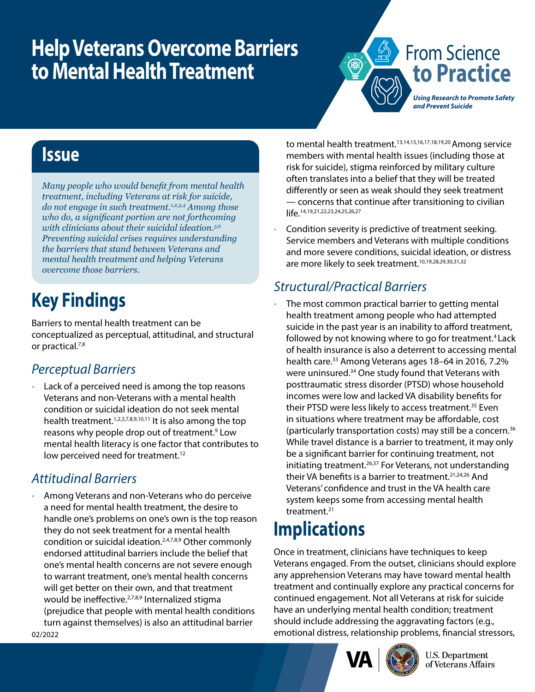# **Help Veterans Overcome Barriers to Mental Health Treatment**



## **Issue**

*Many people who would benefit from mental health treatment, including Veterans at risk for suicide, do not engage in such treatment.1,2,3,4 Among those who do, a significant portion are not forthcoming with clinicians about their suicidal ideation.5,6 Preventing suicidal crises requires understanding the barriers that stand between Veterans and mental health treatment and helping Veterans overcome those barriers.*

# **Key Findings**

Barriers to mental health treatment can be conceptualized as perceptual, attitudinal, and structural or practical.7,8

#### *Perceptual Barriers*

Lack of a perceived need is among the top reasons Veterans and non-Veterans with a mental health condition or suicidal ideation do not seek mental health treatment.<sup>1,2,3,7,8,9,10,11</sup> It is also among the top reasons why people drop out of treatment.<sup>9</sup> Low mental health literacy is one factor that contributes to low perceived need for treatment.<sup>12</sup>

#### *Attitudinal Barriers*

• Among Veterans and non-Veterans who do perceive a need for mental health treatment, the desire to handle one's problems on one's own is the top reason they do not seek treatment for a mental health condition or suicidal ideation.2,4,7,8,9 Other commonly endorsed attitudinal barriers include the belief that one's mental health concerns are not severe enough to warrant treatment, one's mental health concerns will get better on their own, and that treatment would be ineffective.<sup>2,7,8,9</sup> Internalized stigma (prejudice that people with mental health conditions turn against themselves) is also an attitudinal barrier

to mental health treatment.13,14,15,16,17,18,19,20 Among service members with mental health issues (including those at risk for suicide), stigma reinforced by military culture often translates into a belief that they will be treated differently or seen as weak should they seek treatment — concerns that continue after transitioning to civilian life.14,19,21,22,23,24,25,26,27

• Condition severity is predictive of treatment seeking. Service members and Veterans with multiple conditions and more severe conditions, suicidal ideation, or distress are more likely to seek treatment.<sup>10,19,28,29,30,31,32</sup>

### *Structural/Practical Barriers*

The most common practical barrier to getting mental health treatment among people who had attempted suicide in the past year is an inability to afford treatment, followed by not knowing where to go for treatment.<sup>4</sup> Lack of health insurance is also a deterrent to accessing mental health care.<sup>33</sup> Among Veterans ages 18-64 in 2016, 7.2% were uninsured.34 One study found that Veterans with posttraumatic stress disorder (PTSD) whose household incomes were low and lacked VA disability benefits for their PTSD were less likely to access treatment.35 Even in situations where treatment may be affordable, cost (particularly transportation costs) may still be a concern.36 While travel distance is a barrier to treatment, it may only be a significant barrier for continuing treatment, not initiating treatment.26,37 For Veterans, not understanding their VA benefits is a barrier to treatment.<sup>21,24,26</sup> And Veterans' confidence and trust in the VA health care system keeps some from accessing mental health treatment.21

# **Implications**

Once in treatment, clinicians have techniques to keep Veterans engaged. From the outset, clinicians should explore any apprehension Veterans may have toward mental health treatment and continually explore any practical concerns for continued engagement. Not all Veterans at risk for suicide have an underlying mental health condition; treatment should include addressing the aggravating factors (e.g., emotional distress, relationship problems, financial stressors,



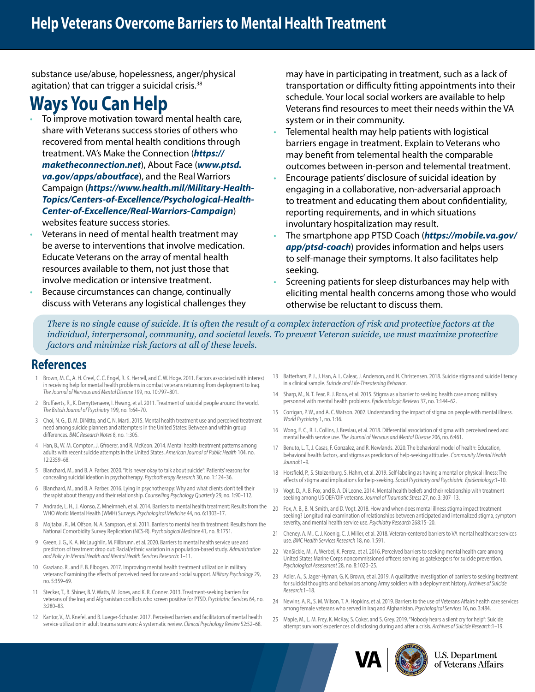substance use/abuse, hopelessness, anger/physical agitation) that can trigger a suicidal crisis.<sup>38</sup>

### **Ways You Can Help**

- To improve motivation toward mental health care, share with Veterans success stories of others who recovered from mental health conditions through treatment. VA's Make the Connection (*[https://](https://www.maketheconnection.net/) [maketheconnection.net](https://www.maketheconnection.net/)*), About Face (*[www.ptsd.](https://www.ptsd.va.gov/apps/aboutface/) [va.gov/apps/aboutface](https://www.ptsd.va.gov/apps/aboutface/)*), and the Real Warriors Campaign (*[https://www.health.mil/Military-Health-](https://www.health.mil/Military-Health-Topics/Centers-of-Excellence/Psychological-Health-Center-of-Excellence/Real-Warriors-Campaign)[Topics/Centers-of-Excellence/Psychological-Health-](https://www.health.mil/Military-Health-Topics/Centers-of-Excellence/Psychological-Health-Center-of-Excellence/Real-Warriors-Campaign)[Center-of-Excellence/Real-Warriors-Campaign](https://www.health.mil/Military-Health-Topics/Centers-of-Excellence/Psychological-Health-Center-of-Excellence/Real-Warriors-Campaign)*) websites feature success stories.
- Veterans in need of mental health treatment may be averse to interventions that involve medication. Educate Veterans on the array of mental health resources available to them, not just those that involve medication or intensive treatment.
- Because circumstances can change, continually discuss with Veterans any logistical challenges they

may have in participating in treatment, such as a lack of transportation or difficulty fitting appointments into their schedule. Your local social workers are available to help Veterans find resources to meet their needs within the VA system or in their community.

- Telemental health may help patients with logistical barriers engage in treatment. Explain to Veterans who may benefit from telemental health the comparable outcomes between in-person and telemental treatment.
- Encourage patients' disclosure of suicidal ideation by engaging in a collaborative, non-adversarial approach to treatment and educating them about confidentiality, reporting requirements, and in which situations involuntary hospitalization may result.
- The smartphone app PTSD Coach (*[https://mobile.va.gov/](https://mobile.va.gov/app/ptsd-coach) [app/ptsd-coach](https://mobile.va.gov/app/ptsd-coach)*) provides information and helps users to self-manage their symptoms. It also facilitates help seeking.
- Screening patients for sleep disturbances may help with eliciting mental health concerns among those who would otherwise be reluctant to discuss them.

*There is no single cause of suicide. It is often the result of a complex interaction of risk and protective factors at the individual, interpersonal, community, and societal levels. To prevent Veteran suicide, we must maximize protective factors and minimize risk factors at all of these levels.*

#### **References**

- Brown, M. C., A. H. Creel, C. C. Engel, R. K. Herrell, and C. W. Hoge. 2011. Factors associated with interest in receiving help for mental health problems in combat veterans returning from deployment to Iraq. *The Journal of Nervous and Mental Disease* 199, no. 10:797–801.
- 2 Bruffaerts, R., K. Demyttenaere, I. Hwang, et al. 2011. Treatment of suicidal people around the world. *The British Journal of Psychiatry* 199, no. 1:64–70.
- 3 Choi, N. G., D. M. DiNitto, and C. N. Marti. 2015. Mental health treatment use and perceived treatment need among suicide planners and attempters in the United States: Between and within group differences. *BMC Research Notes* 8, no. 1:305.
- 4 Han, B., W. M. Compton, J. Gfroerer, and R. McKeon. 2014. Mental health treatment patterns among adults with recent suicide attempts in the United States. *American Journal of Public Health* 104, no. 12:2359–68.
- 5 Blanchard, M., and B. A. Farber. 2020. "It is never okay to talk about suicide": Patients' reasons for concealing suicidal ideation in psychotherapy. *Psychotherapy Research* 30, no. 1:124–36.
- 6 Blanchard, M., and B. A. Farber. 2016. Lying in psychotherapy: Why and what clients don't tell their therapist about therapy and their relationship. *Counselling Psychology Quarterly* 29, no. 1:90–112.
- 7 Andrade, L. H., J. Alonso, Z. Mneimneh, et al. 2014. Barriers to mental health treatment: Results from the WHO World Mental Health (WMH) Surveys. *Psychological Medicine* 44, no. 6:1303–17.
- 8 Mojtabai, R., M. Olfson, N. A. Sampson, et al. 2011. Barriers to mental health treatment: Results from the National Comorbidity Survey Replication (NCS-R). *Psychological Medicine* 41, no. 8:1751.
- 9 Green, J. G., K. A. McLaughlin, M. Fillbrunn, et al. 2020. Barriers to mental health service use and predictors of treatment drop out: Racial/ethnic variation in a population-based study. *Administration and Policy in Mental Health and Mental Health Services Research*: 1–11.
- 10 Graziano, R., and E. B. Elbogen. 2017. Improving mental health treatment utilization in military veterans: Examining the effects of perceived need for care and social support. *Military Psychology* 29, no. 5:359–69.
- 11 Stecker, T., B. Shiner, B. V. Watts, M. Jones, and K. R. Conner. 2013. Treatment-seeking barriers for veterans of the Iraq and Afghanistan conflicts who screen positive for PTSD. *Psychiatric Services* 64, no. 3:280–83.
- 12 Kantor, V., M. Knefel, and B. Lueger-Schuster. 2017. Perceived barriers and facilitators of mental health service utilization in adult trauma survivors: A systematic review. *Clinical Psychology Review* 52:52–68.
- 13 Batterham, P. J., J. Han, A. L. Calear, J. Anderson, and H. Christensen. 2018. Suicide stigma and suicide literacy in a clinical sample. *Suicide and Life‐Threatening Behavior*.
- 14 Sharp, M., N. T. Fear, R. J. Rona, et al. 2015. Stigma as a barrier to seeking health care among military personnel with mental health problems. *Epidemiologic Reviews* 37, no. 1:144–62.
- 15 Corrigan, P. W., and A. C. Watson. 2002. Understanding the impact of stigma on people with mental illness. *World Psychiatry* 1, no. 1:16.
- 16 Wong, E. C., R. L. Collins, J. Breslau, et al. 2018. Differential association of stigma with perceived need and mental health service use. *The Journal of Nervous and Mental Disease* 206, no. 6:461.
- 17 Benuto, L. T., J. Casas, F. Gonzalez, and R. Newlands. 2020. The behavioral model of health: Education, behavioral health factors, and stigma as predictors of help-seeking attitudes. *Community Mental Health Journal*:1–9.
- 18 Horsfield, P., S. Stolzenburg, S. Hahm, et al. 2019. Self-labeling as having a mental or physical illness: The effects of stigma and implications for help-seeking. *Social Psychiatry and Psychiatric Epidemiology*:1–10.
- 19 Vogt, D., A. B. Fox, and B. A. Di Leone. 2014. Mental health beliefs and their relationship with treatment seeking among US OEF/OIF veterans. *Journal of Traumatic Stress* 27, no. 3: 307–13.
- 20 Fox, A. B., B. N. Smith, and D. Vogt. 2018. How and when does mental illness stigma impact treatment seeking? Longitudinal examination of relationships between anticipated and internalized stigma, symptom severity, and mental health service use. *Psychiatry Research* 268:15–20.
- 21 Cheney, A. M., C. J. Koenig, C. J. Miller, et al. 2018. Veteran-centered barriers to VA mental healthcare services use. *BMC Health Services Research* 18, no. 1:591.
- 22 VanSickle, M., A. Werbel, K. Perera, et al. 2016. Perceived barriers to seeking mental health care among United States Marine Corps noncommissioned officers serving as gatekeepers for suicide prevention. *Psychological Assessment* 28, no. 8:1020–25.
- 23 Adler, A., S. Jager-Hyman, G. K. Brown, et al. 2019. A qualitative investigation of barriers to seeking treatment for suicidal thoughts and behaviors among Army soldiers with a deployment history. *Archives of Suicide Research*:1–18.
- 24 Newins, A. R., S. M. Wilson, T. A. Hopkins, et al. 2019. Barriers to the use of Veterans Affairs health care services among female veterans who served in Iraq and Afghanistan. *Psychological Services* 16, no. 3:484.
- 25 Maple, M., L. M. Frey, K. McKay, S. Coker, and S. Grey. 2019. "Nobody hears a silent cry for help": Suicide attempt survivors' experiences of disclosing during and after a crisis. *Archives of Suicide Research*:1–19.